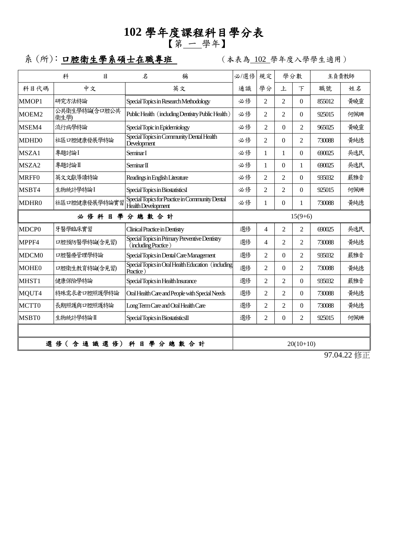## **102** 學年度課程科目學分表 【第 一 學年】

系 (所): 口腔衛生學系碩士在職專班 | (本表為 102 學年度入學學生適用)

|                       |                                                                        |                                                                                   |                                                                              |                |                | 主負責教師    |              |
|-----------------------|------------------------------------------------------------------------|-----------------------------------------------------------------------------------|------------------------------------------------------------------------------|----------------|----------------|----------|--------------|
|                       |                                                                        |                                                                                   |                                                                              |                |                | 姓名       |              |
|                       |                                                                        |                                                                                   | $\mathfrak{D}$                                                               | $\mathfrak{D}$ | $\Omega$       |          | 黃曉靈          |
| 公共衛生學特論(含口腔公共         | Public Health (including Dentistry Public Health)                      | 必修                                                                                | $\mathfrak{D}$                                                               | $\mathfrak{D}$ | $\Omega$       | 925015   | 何佩珊          |
| 流行病學特論                | Special Topic in Epidemiology                                          | 必修                                                                                | $\mathfrak{D}$                                                               | $\Omega$       | $\overline{2}$ | 965025   | 黃曉靈          |
| 社區口腔健康發展學特論           | Special Topics in Community Dental Health                              | 必修                                                                                | $\mathfrak{D}$                                                               | $\Omega$       | $\overline{c}$ | 730088   | 黄純德          |
| 專題討論I                 | Seminar I                                                              | 必修                                                                                | 1                                                                            | 1              | $\theta$       | 690025   | 吳逸民          |
| 專題討論Ⅱ                 | Seminar <sub>II</sub>                                                  | 必修                                                                                | 1                                                                            | $\Omega$       | 1              | 690025   | 吳逸民          |
| 英文文獻導讀特論              | Readings in English Literature                                         | 必修                                                                                | $\mathfrak{D}$                                                               | $\overline{2}$ | $\theta$       | 935032   | 嚴雅音          |
| 生物統計學特論I              | Special Topics in BiostatisticsI                                       | 必修                                                                                | $\mathfrak{D}$                                                               | $\mathfrak{D}$ | $\Omega$       | 925015   | 何佩珊          |
| 社區口腔健康發展學特論實習         | Special Topics for Practice in Community Dental<br>Health Development  | 必修                                                                                | $\mathbf{1}$                                                                 | $\mathbf{0}$   | 1              | 730088   | 黃純德          |
| 必修科目學<br>分總數合計        |                                                                        |                                                                                   | $15(9+6)$                                                                    |                |                |          |              |
| 牙醫學臨床實習               | Clinical Practice in Dentistry                                         | 選修                                                                                | 4                                                                            | $\mathfrak{D}$ | $\overline{2}$ | 690025   | 吳逸民          |
| 口腔預防醫學特論(含見習)         | Special Topics in Primary Preventive Dentistry<br>(including Practice) | 選修                                                                                | $\overline{4}$                                                               | 2              | $\overline{c}$ | 730088   | 黄純德          |
| 口腔醫療管理學特論             | Special Topics in Dental Care Management                               | 選修                                                                                | $\mathfrak{D}$                                                               | $\Omega$       | $\overline{2}$ | 935032   | 嚴雅音          |
| 口腔衛生教育特論(含見習)         | Practice                                                               | 選修                                                                                | $\overline{2}$                                                               | $\theta$       | $\overline{2}$ | 730088   | 黃純德          |
| 健康保險學特論               | Special Topics in Health Insurance                                     | 選修                                                                                | $\overline{2}$                                                               | $\overline{2}$ | $\theta$       | 935032   | 嚴雅音          |
| 特殊需求者口腔照護學特論          | Oral Health Care and People with Special Needs                         |                                                                                   | $\mathfrak{D}$                                                               | $\overline{2}$ | $\theta$       | 730088   | 黄純德          |
| 長期照護與口腔照護特論           | Long Term Care and Oral Health Care                                    | 選修                                                                                | $\overline{2}$                                                               | $\overline{2}$ | $\theta$       | 730088   | 黄純德          |
| 生物統計學特論II             | Special Topics in BiostatisticsII                                      | 選修                                                                                | $\overline{2}$                                                               | $\theta$       | $\overline{2}$ | 925015   | 何佩珊          |
|                       |                                                                        |                                                                                   |                                                                              |                |                |          |              |
| 選修(含通識選修)<br>科目學分總數合計 |                                                                        |                                                                                   | $20(10+10)$                                                                  |                |                |          |              |
|                       | 科<br>目<br>中文<br>研究方法特論<br>衛生學)                                         | $\mathcal{Z}$<br>稱<br>英文<br>Special Topics in Research Methodology<br>Development | 必/選修<br>通識<br>必修<br>Special Topics in Oral Health Education (including<br>選修 | 規定<br>學分       | 上              | 學分數<br>下 | 職號<br>855012 |

97.04.22 修正